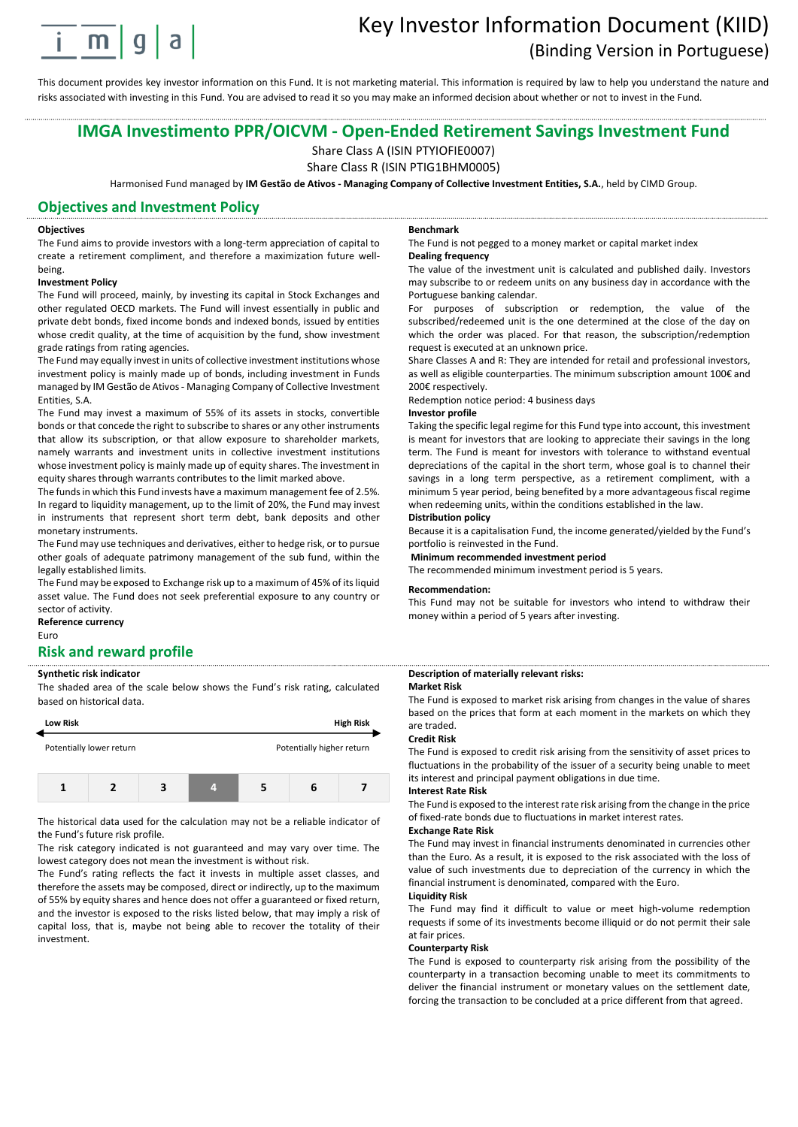

# Key Investor Information Document (KIID) (Binding Version in Portuguese)

This document provides key investor information on this Fund. It is not marketing material. This information is required by law to help you understand the nature and risks associated with investing in this Fund. You are advised to read it so you may make an informed decision about whether or not to invest in the Fund.

# **IMGA Investimento PPR/OICVM - Open-Ended Retirement Savings Investment Fund**

Share Class A (ISIN PTYIOFIE0007)

Share Class R (ISIN PTIG1BHM0005)

Harmonised Fund managed by **IM Gestão de Ativos - Managing Company of Collective Investment Entities, S.A.**, held by CIMD Group.

## **Objectives and Investment Policy**

#### **Objectives**

The Fund aims to provide investors with a long-term appreciation of capital to create a retirement compliment, and therefore a maximization future wellbeing.

#### **Investment Policy**

The Fund will proceed, mainly, by investing its capital in Stock Exchanges and other regulated OECD markets. The Fund will invest essentially in public and private debt bonds, fixed income bonds and indexed bonds, issued by entities whose credit quality, at the time of acquisition by the fund, show investment grade ratings from rating agencies.

The Fund may equally invest in units of collective investment institutions whose investment policy is mainly made up of bonds, including investment in Funds managed by IM Gestão de Ativos - Managing Company of Collective Investment Entities, S.A.

The Fund may invest a maximum of 55% of its assets in stocks, convertible bonds or that concede the right to subscribe to shares or any other instruments that allow its subscription, or that allow exposure to shareholder markets, namely warrants and investment units in collective investment institutions whose investment policy is mainly made up of equity shares. The investment in equity shares through warrants contributes to the limit marked above.

The funds in which this Fund invests have a maximum management fee of 2.5%. In regard to liquidity management, up to the limit of 20%, the Fund may invest in instruments that represent short term debt, bank deposits and other monetary instruments.

The Fund may use techniques and derivatives, either to hedge risk, or to pursue other goals of adequate patrimony management of the sub fund, within the legally established limits.

The Fund may be exposed to Exchange risk up to a maximum of 45% of its liquid asset value. The Fund does not seek preferential exposure to any country or sector of activity.

# **Reference currency**

Euro

# **Risk and reward profile**

#### **Synthetic risk indicator**

The shaded area of the scale below shows the Fund's risk rating, calculated based on historical data.



The historical data used for the calculation may not be a reliable indicator of the Fund's future risk profile.

The risk category indicated is not guaranteed and may vary over time. The lowest category does not mean the investment is without risk.

The Fund's rating reflects the fact it invests in multiple asset classes, and therefore the assets may be composed, direct or indirectly, up to the maximum of 55% by equity shares and hence does not offer a guaranteed or fixed return, and the investor is exposed to the risks listed below, that may imply a risk of capital loss, that is, maybe not being able to recover the totality of their investment.

#### **Benchmark**

The Fund is not pegged to a money market or capital market index **Dealing frequency**

The value of the investment unit is calculated and published daily. Investors may subscribe to or redeem units on any business day in accordance with the Portuguese banking calendar.

For purposes of subscription or redemption, the value of the subscribed/redeemed unit is the one determined at the close of the day on which the order was placed. For that reason, the subscription/redemption request is executed at an unknown price.

Share Classes A and R: They are intended for retail and professional investors, as well as eligible counterparties. The minimum subscription amount 100€ and 200€ respectively.

Redemption notice period: 4 business days

#### **Investor profile**

Taking the specific legal regime for this Fund type into account, this investment is meant for investors that are looking to appreciate their savings in the long term. The Fund is meant for investors with tolerance to withstand eventual depreciations of the capital in the short term, whose goal is to channel their savings in a long term perspective, as a retirement compliment, with a minimum 5 year period, being benefited by a more advantageous fiscal regime when redeeming units, within the conditions established in the law.

# **Distribution policy**

Because it is a capitalisation Fund, the income generated/yielded by the Fund's portfolio is reinvested in the Fund.

#### **Minimum recommended investment period**

The recommended minimum investment period is 5 years.

#### **Recommendation:**

This Fund may not be suitable for investors who intend to withdraw their money within a period of 5 years after investing.

#### **Description of materially relevant risks: Market Risk**

The Fund is exposed to market risk arising from changes in the value of shares based on the prices that form at each moment in the markets on which they are traded.

#### **Credit Risk**

The Fund is exposed to credit risk arising from the sensitivity of asset prices to fluctuations in the probability of the issuer of a security being unable to meet its interest and principal payment obligations in due time.

#### **Interest Rate Risk**

The Fund is exposed to the interest rate risk arising from the change in the price of fixed-rate bonds due to fluctuations in market interest rates.

## **Exchange Rate Risk**

The Fund may invest in financial instruments denominated in currencies other than the Euro. As a result, it is exposed to the risk associated with the loss of value of such investments due to depreciation of the currency in which the financial instrument is denominated, compared with the Euro.

#### **Liquidity Risk**

The Fund may find it difficult to value or meet high-volume redemption requests if some of its investments become illiquid or do not permit their sale at fair prices.

#### **Counterparty Risk**

The Fund is exposed to counterparty risk arising from the possibility of the counterparty in a transaction becoming unable to meet its commitments to deliver the financial instrument or monetary values on the settlement date, forcing the transaction to be concluded at a price different from that agreed.